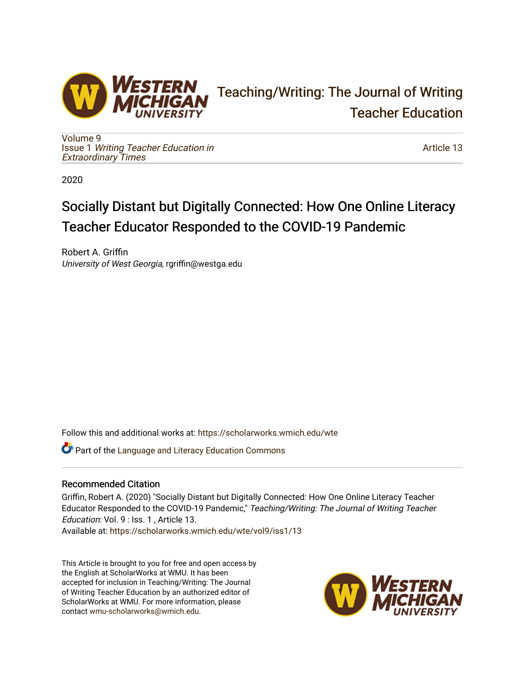

# [Teaching/Writing: The Journal of Writing](https://scholarworks.wmich.edu/wte)  [Teacher Education](https://scholarworks.wmich.edu/wte)

[Volume 9](https://scholarworks.wmich.edu/wte/vol9) Issue 1 [Writing Teacher Education in](https://scholarworks.wmich.edu/wte/vol9/iss1) [Extraordinary Times](https://scholarworks.wmich.edu/wte/vol9/iss1) 

[Article 13](https://scholarworks.wmich.edu/wte/vol9/iss1/13) 

2020

# Socially Distant but Digitally Connected: How One Online Literacy Teacher Educator Responded to the COVID-19 Pandemic

Robert A. Griffin University of West Georgia, rgriffin@westga.edu

Follow this and additional works at: [https://scholarworks.wmich.edu/wte](https://scholarworks.wmich.edu/wte?utm_source=scholarworks.wmich.edu%2Fwte%2Fvol9%2Fiss1%2F13&utm_medium=PDF&utm_campaign=PDFCoverPages)

**C** Part of the Language and Literacy Education Commons

# Recommended Citation

Griffin, Robert A. (2020) "Socially Distant but Digitally Connected: How One Online Literacy Teacher Educator Responded to the COVID-19 Pandemic," Teaching/Writing: The Journal of Writing Teacher Education: Vol. 9 : Iss. 1 , Article 13.

Available at: [https://scholarworks.wmich.edu/wte/vol9/iss1/13](https://scholarworks.wmich.edu/wte/vol9/iss1/13?utm_source=scholarworks.wmich.edu%2Fwte%2Fvol9%2Fiss1%2F13&utm_medium=PDF&utm_campaign=PDFCoverPages)

This Article is brought to you for free and open access by the English at ScholarWorks at WMU. It has been accepted for inclusion in Teaching/Writing: The Journal of Writing Teacher Education by an authorized editor of ScholarWorks at WMU. For more information, please contact [wmu-scholarworks@wmich.edu](mailto:wmu-scholarworks@wmich.edu).

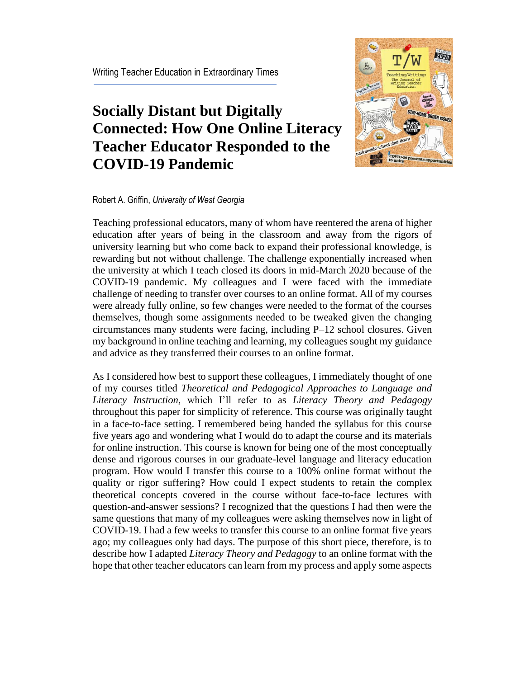# **Socially Distant but Digitally Connected: How One Online Literacy Teacher Educator Responded to the COVID-19 Pandemic**



## Robert A. Griffin, *University of West Georgia*

Teaching professional educators, many of whom have reentered the arena of higher education after years of being in the classroom and away from the rigors of university learning but who come back to expand their professional knowledge, is rewarding but not without challenge. The challenge exponentially increased when the university at which I teach closed its doors in mid-March 2020 because of the COVID-19 pandemic. My colleagues and I were faced with the immediate challenge of needing to transfer over courses to an online format. All of my courses were already fully online, so few changes were needed to the format of the courses themselves, though some assignments needed to be tweaked given the changing circumstances many students were facing, including P–12 school closures. Given my background in online teaching and learning, my colleagues sought my guidance and advice as they transferred their courses to an online format.

As I considered how best to support these colleagues, I immediately thought of one of my courses titled *Theoretical and Pedagogical Approaches to Language and Literacy Instruction,* which I'll refer to as *Literacy Theory and Pedagogy* throughout this paper for simplicity of reference. This course was originally taught in a face-to-face setting. I remembered being handed the syllabus for this course five years ago and wondering what I would do to adapt the course and its materials for online instruction. This course is known for being one of the most conceptually dense and rigorous courses in our graduate-level language and literacy education program. How would I transfer this course to a 100% online format without the quality or rigor suffering? How could I expect students to retain the complex theoretical concepts covered in the course without face-to-face lectures with question-and-answer sessions? I recognized that the questions I had then were the same questions that many of my colleagues were asking themselves now in light of COVID-19. I had a few weeks to transfer this course to an online format five years ago; my colleagues only had days. The purpose of this short piece, therefore, is to describe how I adapted *Literacy Theory and Pedagogy* to an online format with the hope that other teacher educators can learn from my process and apply some aspects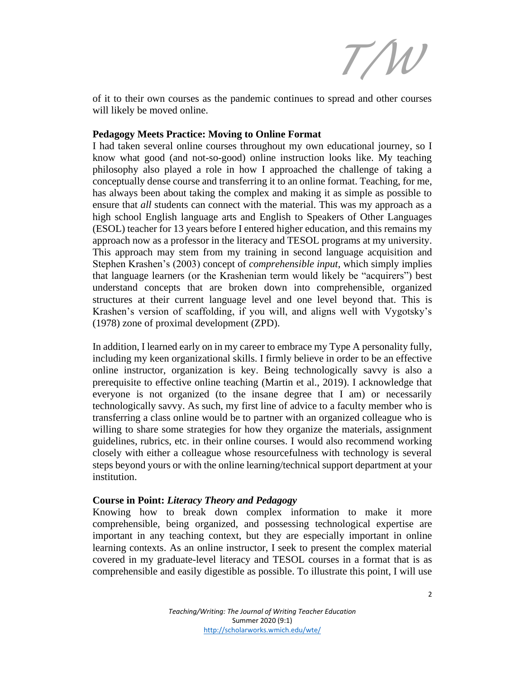*T/W*

of it to their own courses as the pandemic continues to spread and other courses will likely be moved online.

#### **Pedagogy Meets Practice: Moving to Online Format**

I had taken several online courses throughout my own educational journey, so I know what good (and not-so-good) online instruction looks like. My teaching philosophy also played a role in how I approached the challenge of taking a conceptually dense course and transferring it to an online format. Teaching, for me, has always been about taking the complex and making it as simple as possible to ensure that *all* students can connect with the material. This was my approach as a high school English language arts and English to Speakers of Other Languages (ESOL) teacher for 13 years before I entered higher education, and this remains my approach now as a professor in the literacy and TESOL programs at my university. This approach may stem from my training in second language acquisition and Stephen Krashen's (2003) concept of *comprehensible input*, which simply implies that language learners (or the Krashenian term would likely be "acquirers") best understand concepts that are broken down into comprehensible, organized structures at their current language level and one level beyond that. This is Krashen's version of scaffolding, if you will, and aligns well with Vygotsky's (1978) zone of proximal development (ZPD).

In addition, I learned early on in my career to embrace my Type A personality fully, including my keen organizational skills. I firmly believe in order to be an effective online instructor, organization is key. Being technologically savvy is also a prerequisite to effective online teaching (Martin et al., 2019). I acknowledge that everyone is not organized (to the insane degree that I am) or necessarily technologically savvy. As such, my first line of advice to a faculty member who is transferring a class online would be to partner with an organized colleague who is willing to share some strategies for how they organize the materials, assignment guidelines, rubrics, etc. in their online courses. I would also recommend working closely with either a colleague whose resourcefulness with technology is several steps beyond yours or with the online learning/technical support department at your institution.

#### **Course in Point:** *Literacy Theory and Pedagogy*

Knowing how to break down complex information to make it more comprehensible, being organized, and possessing technological expertise are important in any teaching context, but they are especially important in online learning contexts. As an online instructor, I seek to present the complex material covered in my graduate-level literacy and TESOL courses in a format that is as comprehensible and easily digestible as possible. To illustrate this point, I will use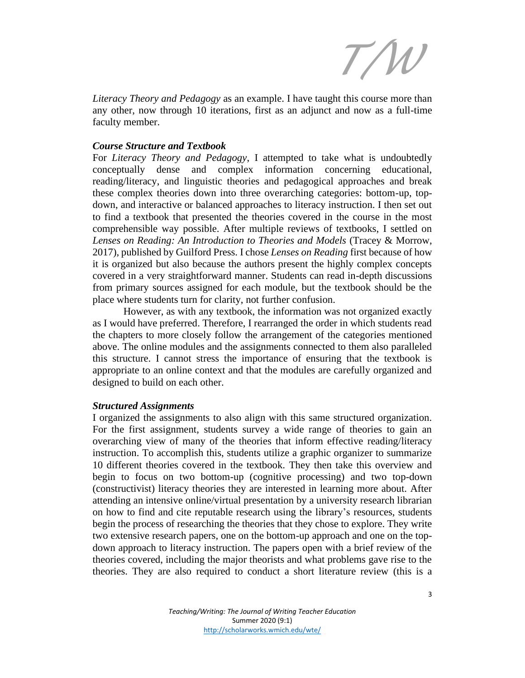*T/W*

*Literacy Theory and Pedagogy* as an example. I have taught this course more than any other, now through 10 iterations, first as an adjunct and now as a full-time faculty member.

### *Course Structure and Textbook*

For *Literacy Theory and Pedagogy*, I attempted to take what is undoubtedly conceptually dense and complex information concerning educational, reading/literacy, and linguistic theories and pedagogical approaches and break these complex theories down into three overarching categories: bottom-up, topdown, and interactive or balanced approaches to literacy instruction. I then set out to find a textbook that presented the theories covered in the course in the most comprehensible way possible. After multiple reviews of textbooks, I settled on *Lenses on Reading: An Introduction to Theories and Models* (Tracey & Morrow, 2017), published by Guilford Press. I chose *Lenses on Reading* first because of how it is organized but also because the authors present the highly complex concepts covered in a very straightforward manner. Students can read in-depth discussions from primary sources assigned for each module, but the textbook should be the place where students turn for clarity, not further confusion.

However, as with any textbook, the information was not organized exactly as I would have preferred. Therefore, I rearranged the order in which students read the chapters to more closely follow the arrangement of the categories mentioned above. The online modules and the assignments connected to them also paralleled this structure. I cannot stress the importance of ensuring that the textbook is appropriate to an online context and that the modules are carefully organized and designed to build on each other.

#### *Structured Assignments*

I organized the assignments to also align with this same structured organization. For the first assignment, students survey a wide range of theories to gain an overarching view of many of the theories that inform effective reading/literacy instruction. To accomplish this, students utilize a graphic organizer to summarize 10 different theories covered in the textbook. They then take this overview and begin to focus on two bottom-up (cognitive processing) and two top-down (constructivist) literacy theories they are interested in learning more about. After attending an intensive online/virtual presentation by a university research librarian on how to find and cite reputable research using the library's resources, students begin the process of researching the theories that they chose to explore. They write two extensive research papers, one on the bottom-up approach and one on the topdown approach to literacy instruction. The papers open with a brief review of the theories covered, including the major theorists and what problems gave rise to the theories. They are also required to conduct a short literature review (this is a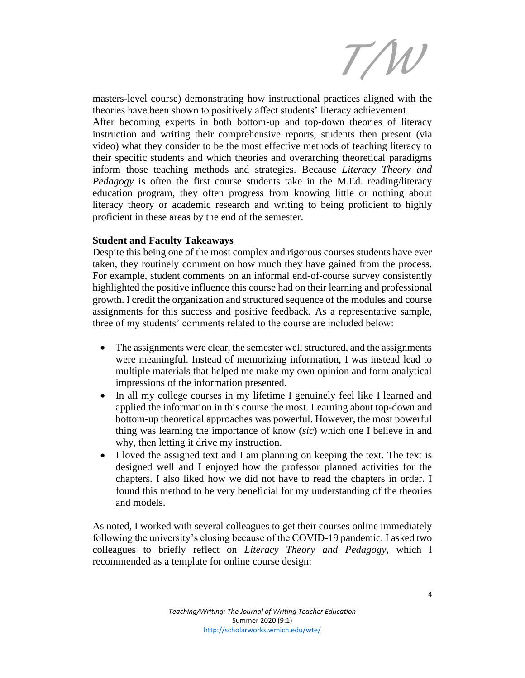*T/W*

masters-level course) demonstrating how instructional practices aligned with the theories have been shown to positively affect students' literacy achievement. After becoming experts in both bottom-up and top-down theories of literacy instruction and writing their comprehensive reports, students then present (via video) what they consider to be the most effective methods of teaching literacy to their specific students and which theories and overarching theoretical paradigms inform those teaching methods and strategies. Because *Literacy Theory and Pedagogy* is often the first course students take in the M.Ed. reading/literacy education program, they often progress from knowing little or nothing about literacy theory or academic research and writing to being proficient to highly proficient in these areas by the end of the semester.

## **Student and Faculty Takeaways**

Despite this being one of the most complex and rigorous courses students have ever taken, they routinely comment on how much they have gained from the process. For example, student comments on an informal end-of-course survey consistently highlighted the positive influence this course had on their learning and professional growth. I credit the organization and structured sequence of the modules and course assignments for this success and positive feedback. As a representative sample, three of my students' comments related to the course are included below:

- The assignments were clear, the semester well structured, and the assignments were meaningful. Instead of memorizing information, I was instead lead to multiple materials that helped me make my own opinion and form analytical impressions of the information presented.
- In all my college courses in my lifetime I genuinely feel like I learned and applied the information in this course the most. Learning about top-down and bottom-up theoretical approaches was powerful. However, the most powerful thing was learning the importance of know (*sic*) which one I believe in and why, then letting it drive my instruction.
- I loved the assigned text and I am planning on keeping the text. The text is designed well and I enjoyed how the professor planned activities for the chapters. I also liked how we did not have to read the chapters in order. I found this method to be very beneficial for my understanding of the theories and models.

As noted, I worked with several colleagues to get their courses online immediately following the university's closing because of the COVID-19 pandemic. I asked two colleagues to briefly reflect on *Literacy Theory and Pedagogy*, which I recommended as a template for online course design: